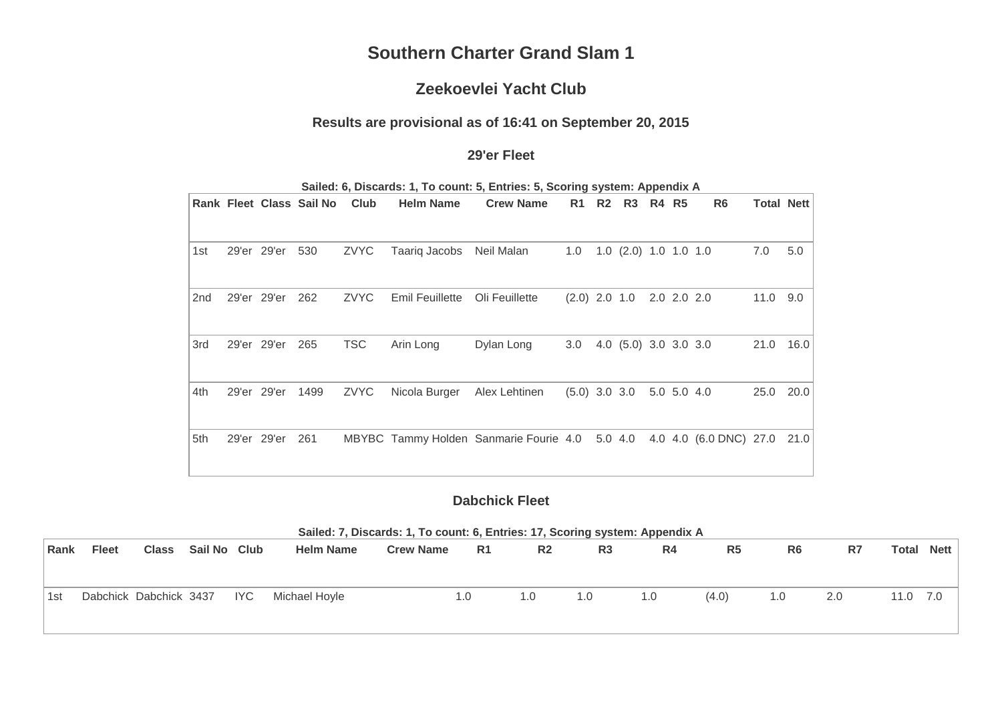# **Southern Charter Grand Slam 1**

# **Zeekoevlei Yacht Club**

#### **Results are provisional as of 16:41 on September 20, 2015**

#### **29'er Fleet**

|     |             | Rank Fleet Class Sail No Club |             | <b>Helm Name</b>       | <b>Crew Name</b>                               | R1              | R2 R3 R4 R5                     |             | R <sub>6</sub>              | <b>Total Nett</b> |      |
|-----|-------------|-------------------------------|-------------|------------------------|------------------------------------------------|-----------------|---------------------------------|-------------|-----------------------------|-------------------|------|
|     |             |                               |             |                        |                                                |                 |                                 |             |                             |                   |      |
| 1st | 29'er 29'er | 530                           | ZVYC        | Taariq Jacobs          | Neil Malan                                     | 1.0             | $1.0$ $(2.0)$ $1.0$ $1.0$ $1.0$ |             |                             | 7.0               | 5.0  |
| 2nd | 29'er 29'er | 262                           | <b>ZVYC</b> | <b>Emil Feuillette</b> | Oli Feuillette                                 | $(2.0)$ 2.0 1.0 |                                 | 2.0 2.0 2.0 |                             | 11.0              | 9.0  |
| 3rd | 29'er 29'er | 265                           | <b>TSC</b>  | Arin Long              | Dylan Long                                     | 3.0             | 4.0 (5.0) 3.0 3.0 3.0           |             |                             | 21.0              | 16.0 |
| 4th | 29'er 29'er | 1499                          | ZVYC        | Nicola Burger          | Alex Lehtinen                                  | $(5.0)$ 3.0 3.0 |                                 | 5.0 5.0 4.0 |                             | 25.0              | 20.0 |
| 5th | 29'er 29'er | 261                           |             |                        | MBYBC Tammy Holden Sanmarie Fourie 4.0 5.0 4.0 |                 |                                 |             | 4.0 4.0 (6.0 DNC) 27.0 21.0 |                   |      |

**Sailed: 6, Discards: 1, To count: 5, Entries: 5, Scoring system: Appendix A**

## **Dabchick Fleet**

| Sailed: 7, Discards: 1, To count: 6, Entries: 17, Scoring system: Appendix A |
|------------------------------------------------------------------------------|
|------------------------------------------------------------------------------|

| Rank | <b>Fleet</b>           | <b>Class</b> | Sail No Club |            | <b>Helm Name</b> | <b>Crew Name</b> | R <sub>1</sub> | R <sub>2</sub> | R <sub>3</sub> | R4  | R <sub>5</sub> | R6  | R7  | Total | Nett |
|------|------------------------|--------------|--------------|------------|------------------|------------------|----------------|----------------|----------------|-----|----------------|-----|-----|-------|------|
|      |                        |              |              |            |                  |                  |                |                |                |     |                |     |     |       |      |
| 1st  | Dabchick Dabchick 3437 |              |              | <b>IYC</b> | Michael Hoyle    |                  | 1.0            | 1.0            | 1.0            | 1.0 | (4.0)          | 1.0 | 2.0 | 11.0  | 7.0  |
|      |                        |              |              |            |                  |                  |                |                |                |     |                |     |     |       |      |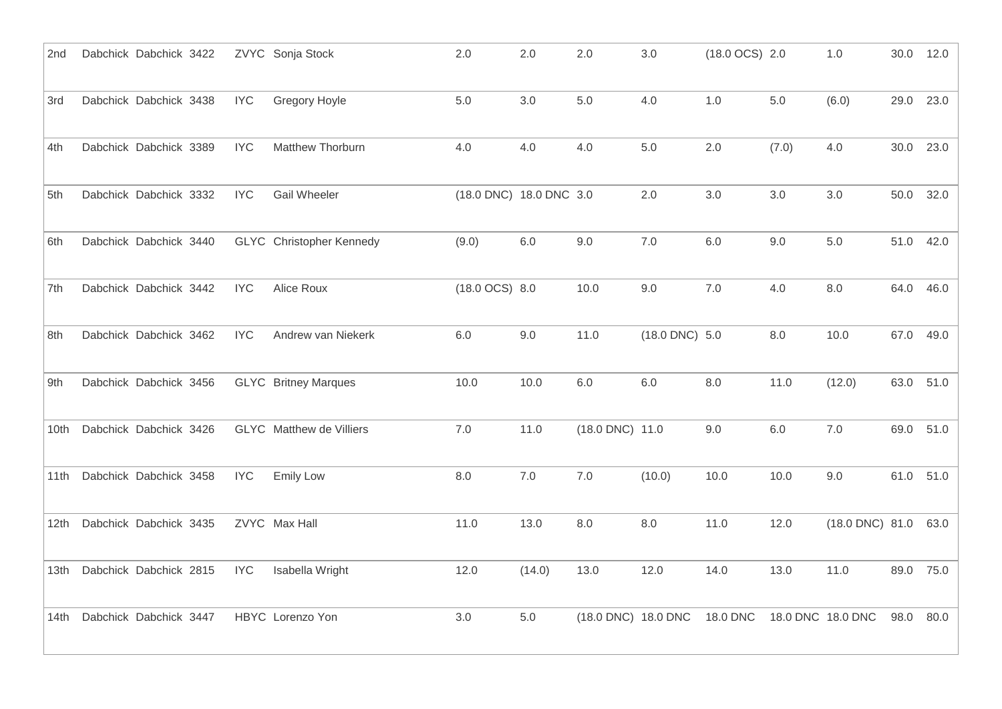| 2nd  | Dabchick Dabchick 3422 |  |            | ZVYC Sonja Stock                | 2.0                     | 2.0     | 2.0                 | 3.0                 | $(18.0$ OCS) 2.0 |         | 1.0                       | 30.0 12.0 |      |
|------|------------------------|--|------------|---------------------------------|-------------------------|---------|---------------------|---------------------|------------------|---------|---------------------------|-----------|------|
| 3rd  | Dabchick Dabchick 3438 |  | <b>IYC</b> | Gregory Hoyle                   | 5.0                     | 3.0     | $5.0$               | 4.0                 | $1.0$            | $5.0\,$ | (6.0)                     | 29.0      | 23.0 |
| 4th  | Dabchick Dabchick 3389 |  | <b>IYC</b> | Matthew Thorburn                | 4.0                     | 4.0     | 4.0                 | 5.0                 | 2.0              | (7.0)   | 4.0                       | 30.0      | 23.0 |
| 5th  | Dabchick Dabchick 3332 |  | <b>IYC</b> | <b>Gail Wheeler</b>             | (18.0 DNC) 18.0 DNC 3.0 |         |                     | 2.0                 | 3.0              | 3.0     | 3.0                       | 50.0      | 32.0 |
| 6th  | Dabchick Dabchick 3440 |  |            | <b>GLYC</b> Christopher Kennedy | (9.0)                   | 6.0     | 9.0                 | 7.0                 | 6.0              | 9.0     | 5.0                       | 51.0      | 42.0 |
| 7th  | Dabchick Dabchick 3442 |  | <b>IYC</b> | Alice Roux                      | $(18.0$ OCS) $8.0$      |         | 10.0                | 9.0                 | 7.0              | 4.0     | 8.0                       | 64.0      | 46.0 |
| 8th  | Dabchick Dabchick 3462 |  | <b>IYC</b> | Andrew van Niekerk              | $6.0\,$                 | 9.0     | 11.0                | $(18.0$ DNC $)$ 5.0 |                  | $8.0\,$ | 10.0                      | 67.0      | 49.0 |
| 9th  | Dabchick Dabchick 3456 |  |            | <b>GLYC</b> Britney Marques     | 10.0                    | 10.0    | $6.0\,$             | $6.0\,$             | 8.0              | 11.0    | (12.0)                    | 63.0      | 51.0 |
| 10th | Dabchick Dabchick 3426 |  |            | <b>GLYC</b> Matthew de Villiers | 7.0                     | 11.0    | (18.0 DNC) 11.0     |                     | $9.0\,$          | 6.0     | 7.0                       | 69.0      | 51.0 |
| 11th | Dabchick Dabchick 3458 |  | <b>IYC</b> | <b>Emily Low</b>                | 8.0                     | $7.0\,$ | $7.0\,$             | (10.0)              | 10.0             | 10.0    | 9.0                       | 61.0      | 51.0 |
| 12th | Dabchick Dabchick 3435 |  |            | ZVYC Max Hall                   | 11.0                    | 13.0    | 8.0                 | 8.0                 | 11.0             | 12.0    | $(18.0 \text{ DNC})$ 81.0 |           | 63.0 |
| 13th | Dabchick Dabchick 2815 |  | <b>IYC</b> | Isabella Wright                 | 12.0                    | (14.0)  | 13.0                | 12.0                | 14.0             | 13.0    | 11.0                      | 89.0      | 75.0 |
| 14th | Dabchick Dabchick 3447 |  |            | HBYC Lorenzo Yon                | 3.0                     | $5.0\,$ | (18.0 DNC) 18.0 DNC |                     | 18.0 DNC         |         | 18.0 DNC 18.0 DNC         | 98.0      | 80.0 |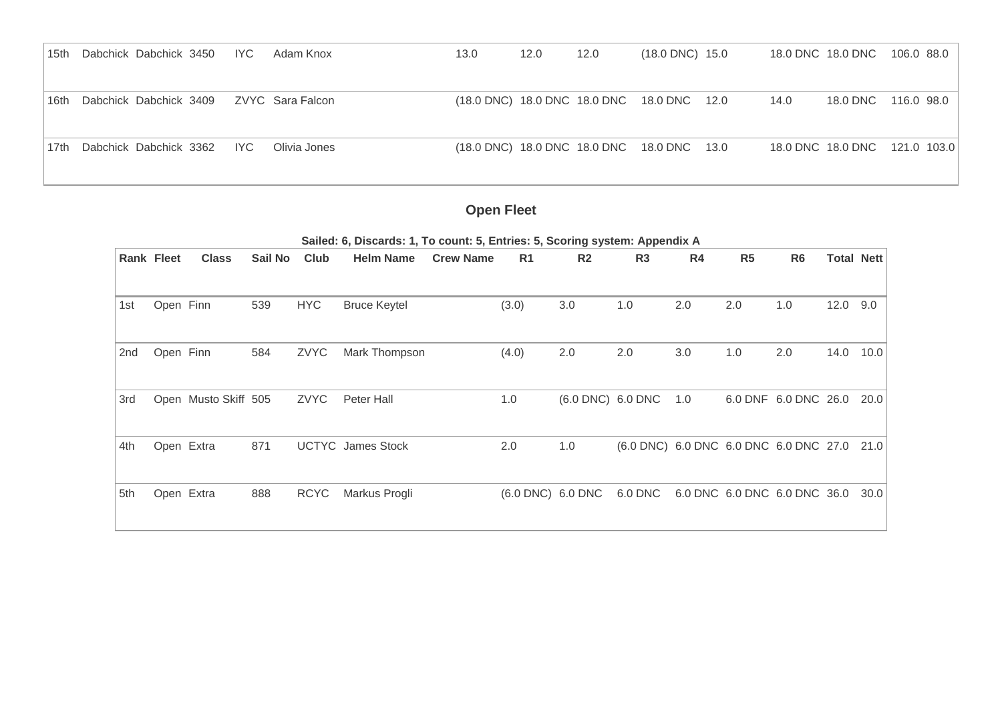| 15th | Dabchick Dabchick 3450 | IYC. | Adam Knox        | 13.0 | 12.0 | 12.0 | $(18.0 \text{ DNC})$ 15.0                  |      | 18.0 DNC 18.0 DNC 106.0 88.0  |  |
|------|------------------------|------|------------------|------|------|------|--------------------------------------------|------|-------------------------------|--|
|      |                        |      |                  |      |      |      |                                            |      |                               |  |
| 16th | Dabchick Dabchick 3409 |      | ZVYC Sara Falcon |      |      |      | (18.0 DNC) 18.0 DNC 18.0 DNC 18.0 DNC 12.0 | 14.0 | 18.0 DNC 116.0 98.0           |  |
|      |                        |      |                  |      |      |      |                                            |      |                               |  |
| 17th | Dabchick Dabchick 3362 | IYC. | Olivia Jones     |      |      |      | (18.0 DNC) 18.0 DNC 18.0 DNC 18.0 DNC 13.0 |      | 18.0 DNC 18.0 DNC 121.0 103.0 |  |
|      |                        |      |                  |      |      |      |                                            |      |                               |  |

# **Open Fleet**

| <b>Class</b>      | Sail No                                            | Club                 | <b>Helm Name</b>    | <b>Crew Name</b>         | R1    | R <sub>2</sub> | R <sub>3</sub>    | R4                           | R <sub>5</sub>                                                                                                                                     | R <sub>6</sub> | <b>Total Nett</b> |                                                                                                |
|-------------------|----------------------------------------------------|----------------------|---------------------|--------------------------|-------|----------------|-------------------|------------------------------|----------------------------------------------------------------------------------------------------------------------------------------------------|----------------|-------------------|------------------------------------------------------------------------------------------------|
|                   | 539                                                | <b>HYC</b>           | <b>Bruce Keytel</b> |                          | (3.0) | 3.0            | 1.0               | 2.0                          | 2.0                                                                                                                                                | 1.0            | 12.0              | 9.0                                                                                            |
|                   | 584                                                | ZVYC                 | Mark Thompson       |                          | (4.0) | 2.0            | 2.0               | 3.0                          | 1.0                                                                                                                                                | 2.0            | 14.0              | 10.0                                                                                           |
|                   |                                                    | ZVYC                 | Peter Hall          |                          | 1.0   |                |                   | 1.0                          |                                                                                                                                                    |                |                   | 20.0                                                                                           |
|                   | 871                                                |                      |                     |                          | 2.0   | 1.0            |                   |                              |                                                                                                                                                    |                |                   | 21.0                                                                                           |
|                   | 888                                                | <b>RCYC</b>          | Markus Progli       |                          |       |                |                   |                              |                                                                                                                                                    |                |                   | 30.0                                                                                           |
| <b>Rank Fleet</b> | Open Finn<br>Open Finn<br>Open Extra<br>Open Extra | Open Musto Skiff 505 |                     | <b>UCTYC</b> James Stock |       |                | (6.0 DNC) 6.0 DNC | (6.0 DNC) 6.0 DNC<br>6.0 DNC | $\alpha$ of $\alpha$ , $\beta$ is $\alpha$ and $\beta$ is the set of $\alpha$ is the set of $\alpha$ is the set of $\alpha$ is the set of $\alpha$ |                |                   | 6.0 DNF 6.0 DNC 26.0<br>(6.0 DNC) 6.0 DNC 6.0 DNC 6.0 DNC 27.0<br>6.0 DNC 6.0 DNC 6.0 DNC 36.0 |

**Sailed: 6, Discards: 1, To count: 5, Entries: 5, Scoring system: Appendix A**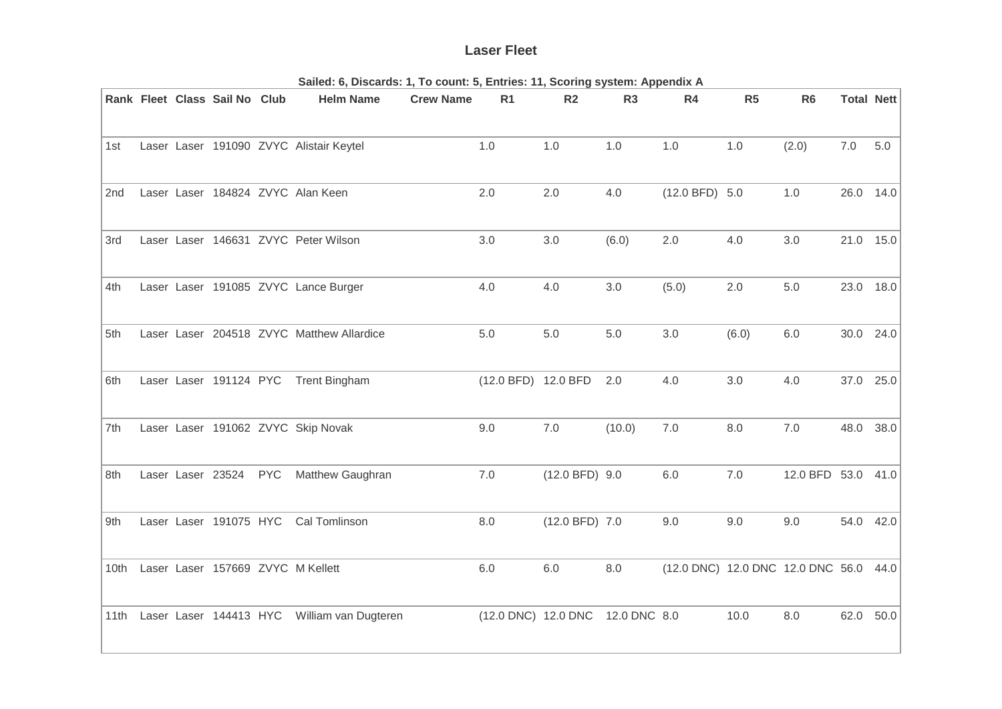## **Laser Fleet**

|      |  | Rank Fleet Class Sail No Club |            | <b>Helm Name</b>                          | <b>Crew Name</b> | R <sub>1</sub>      | R <sub>2</sub>   | R <sub>3</sub> | R4                                | R5    | R <sub>6</sub> | <b>Total Nett</b> |       |
|------|--|-------------------------------|------------|-------------------------------------------|------------------|---------------------|------------------|----------------|-----------------------------------|-------|----------------|-------------------|-------|
|      |  |                               |            |                                           |                  |                     |                  |                |                                   |       |                |                   |       |
| 1st  |  |                               |            | Laser Laser 191090 ZVYC Alistair Keytel   |                  | 1.0                 | 1.0              | 1.0            | 1.0                               | 1.0   | (2.0)          | $7.0\,$           | $5.0$ |
| 2nd  |  |                               |            | Laser Laser 184824 ZVYC Alan Keen         |                  | 2.0                 | 2.0              | 4.0            | (12.0 BFD) 5.0                    |       | 1.0            | 26.0 14.0         |       |
| 3rd  |  |                               |            | Laser Laser 146631 ZVYC Peter Wilson      |                  | 3.0                 | 3.0              | (6.0)          | 2.0                               | 4.0   | 3.0            | 21.0 15.0         |       |
| 4th  |  |                               |            | Laser Laser 191085 ZVYC Lance Burger      |                  | 4.0                 | 4.0              | 3.0            | (5.0)                             | 2.0   | 5.0            | 23.0              | 18.0  |
| 5th  |  |                               |            | Laser Laser 204518 ZVYC Matthew Allardice |                  | 5.0                 | 5.0              | 5.0            | 3.0                               | (6.0) | 6.0            | 30.0 24.0         |       |
| 6th  |  | Laser Laser 191124 PYC        |            | <b>Trent Bingham</b>                      |                  | (12.0 BFD) 12.0 BFD |                  | 2.0            | 4.0                               | 3.0   | 4.0            | 37.0              | 25.0  |
| 7th  |  |                               |            | Laser Laser 191062 ZVYC Skip Novak        |                  | 9.0                 | 7.0              | (10.0)         | 7.0                               | 8.0   | 7.0            | 48.0              | 38.0  |
| 8th  |  | Laser Laser 23524             | <b>PYC</b> | Matthew Gaughran                          |                  | 7.0                 | $(12.0 BFD)$ 9.0 |                | $6.0\,$                           | 7.0   | 12.0 BFD 53.0  |                   | 41.0  |
| 9th  |  | Laser Laser 191075 HYC        |            | <b>Cal Tomlinson</b>                      |                  | 8.0                 | $(12.0 BFD)$ 7.0 |                | 9.0                               | 9.0   | 9.0            | 54.0              | 42.0  |
| 10th |  |                               |            | Laser Laser 157669 ZVYC M Kellett         |                  | $6.0\,$             | $6.0\,$          | $8.0\,$        | (12.0 DNC) 12.0 DNC 12.0 DNC 56.0 |       |                |                   | 44.0  |
| 11th |  | Laser Laser 144413 HYC        |            | William van Dugteren                      |                  | (12.0 DNC) 12.0 DNC |                  | 12.0 DNC 8.0   |                                   | 10.0  | 8.0            | 62.0              | 50.0  |

**Sailed: 6, Discards: 1, To count: 5, Entries: 11, Scoring system: Appendix A**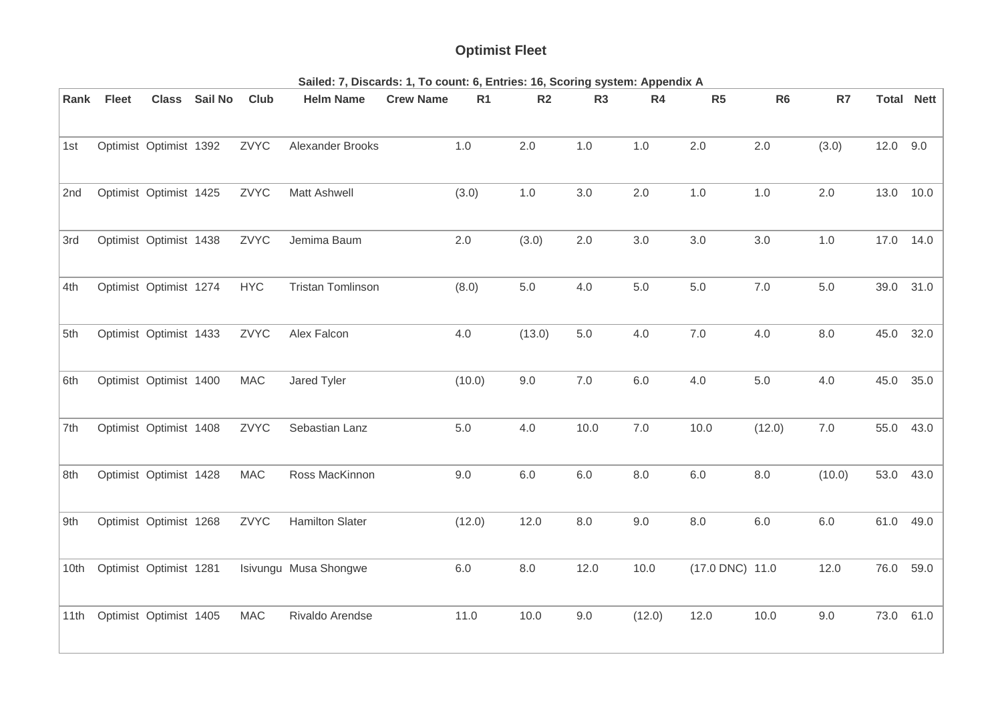# **Optimist Fleet**

| Rank | <b>Fleet</b> | <b>Class</b>           | Sail No | Club        | <b>Helm Name</b>         | <b>Crew Name</b> | R <sub>1</sub> | R <sub>2</sub> | R <sub>3</sub> | R4      | R5              | R <sub>6</sub> | R7      | <b>Total Nett</b> |      |
|------|--------------|------------------------|---------|-------------|--------------------------|------------------|----------------|----------------|----------------|---------|-----------------|----------------|---------|-------------------|------|
|      |              |                        |         |             |                          |                  |                |                |                |         |                 |                |         |                   |      |
| 1st  |              | Optimist Optimist 1392 |         | ZVYC        | Alexander Brooks         |                  | 1.0            | 2.0            | $1.0$          | 1.0     | 2.0             | 2.0            | (3.0)   | 12.0 9.0          |      |
| 2nd  |              | Optimist Optimist 1425 |         | ZVYC        | Matt Ashwell             |                  | (3.0)          | $1.0$          | 3.0            | 2.0     | 1.0             | $1.0$          | 2.0     | 13.0              | 10.0 |
| 3rd  |              | Optimist Optimist 1438 |         | ZVYC        | Jemima Baum              |                  | 2.0            | (3.0)          | 2.0            | 3.0     | $3.0\,$         | $3.0\,$        | $1.0$   | 17.0              | 14.0 |
| 4th  |              | Optimist Optimist 1274 |         | <b>HYC</b>  | <b>Tristan Tomlinson</b> |                  | (8.0)          | $5.0\,$        | 4.0            | $5.0\,$ | $5.0\,$         | $7.0$          | $5.0\,$ | 39.0              | 31.0 |
| 5th  |              | Optimist Optimist 1433 |         | ZVYC        | Alex Falcon              |                  | 4.0            | (13.0)         | 5.0            | 4.0     | 7.0             | 4.0            | 8.0     | 45.0              | 32.0 |
| 6th  |              | Optimist Optimist 1400 |         | <b>MAC</b>  | Jared Tyler              |                  | (10.0)         | 9.0            | 7.0            | 6.0     | 4.0             | 5.0            | 4.0     | 45.0              | 35.0 |
| 7th  |              | Optimist Optimist 1408 |         | ZVYC        | Sebastian Lanz           |                  | $5.0\,$        | 4.0            | 10.0           | $7.0\,$ | 10.0            | (12.0)         | $7.0\,$ | 55.0              | 43.0 |
| 8th  |              | Optimist Optimist 1428 |         | <b>MAC</b>  | Ross MacKinnon           |                  | 9.0            | $6.0\,$        | 6.0            | $8.0\,$ | 6.0             | $8.0\,$        | (10.0)  | 53.0              | 43.0 |
| 9th  |              | Optimist Optimist 1268 |         | <b>ZVYC</b> | <b>Hamilton Slater</b>   |                  | (12.0)         | 12.0           | 8.0            | 9.0     | $8.0\,$         | $6.0\,$        | $6.0\,$ | 61.0              | 49.0 |
| 10th |              | Optimist Optimist 1281 |         |             | Isivungu Musa Shongwe    |                  | $6.0\,$        | $8.0\,$        | 12.0           | 10.0    | (17.0 DNC) 11.0 |                | 12.0    | 76.0              | 59.0 |
| 11th |              | Optimist Optimist 1405 |         | <b>MAC</b>  | Rivaldo Arendse          |                  | 11.0           | 10.0           | 9.0            | (12.0)  | 12.0            | 10.0           | 9.0     | 73.0              | 61.0 |

**Sailed: 7, Discards: 1, To count: 6, Entries: 16, Scoring system: Appendix A**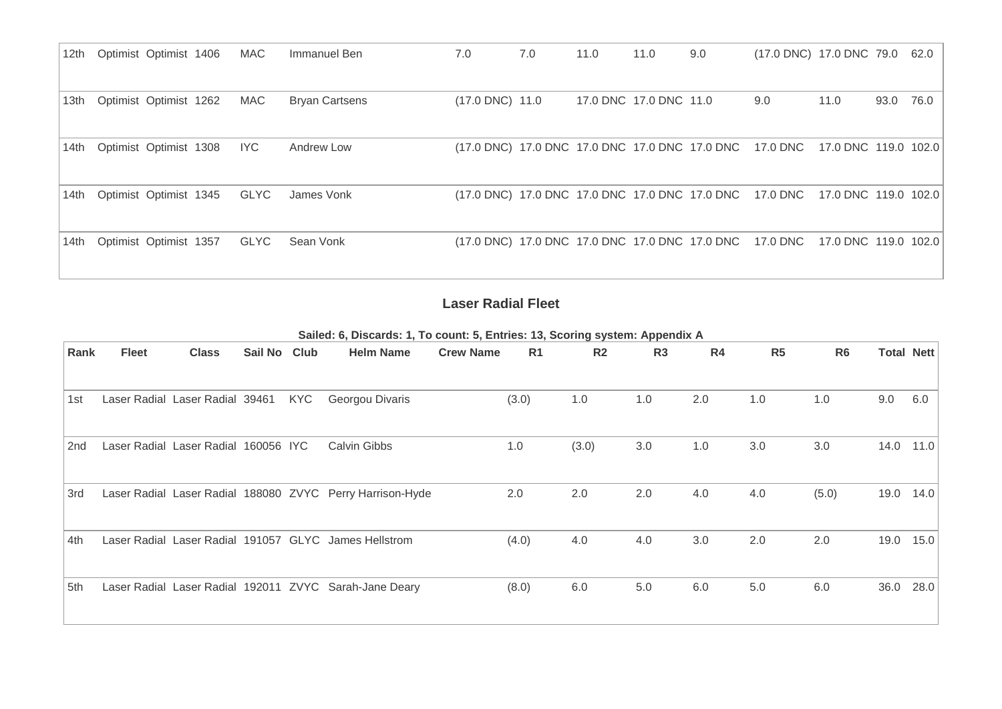| 12th | Optimist Optimist 1406 | MAC         | Immanuel Ben          | 7.0                                            | 7.0 | 11.0 | 11.0                   | 9.0 | (17.0 DNC) 17.0 DNC 79.0 62.0                                                |      |           |  |
|------|------------------------|-------------|-----------------------|------------------------------------------------|-----|------|------------------------|-----|------------------------------------------------------------------------------|------|-----------|--|
| 13th | Optimist Optimist 1262 | <b>MAC</b>  | <b>Bryan Cartsens</b> | $(17.0 \text{ DNC})$ 11.0                      |     |      | 17.0 DNC 17.0 DNC 11.0 |     | 9.0                                                                          | 11.0 | 93.0 76.0 |  |
| 14th | Optimist Optimist 1308 | IYC         | Andrew Low            | (17.0 DNC) 17.0 DNC 17.0 DNC 17.0 DNC 17.0 DNC |     |      |                        |     | 17.0 DNC  17.0 DNC  119.0  102.0                                             |      |           |  |
| 14th | Optimist Optimist 1345 | <b>GLYC</b> | James Vonk            |                                                |     |      |                        |     | (17.0 DNC) 17.0 DNC 17.0 DNC 17.0 DNC 17.0 DNC 17.0 DNC 17.0 DNC 119.0 102.0 |      |           |  |
| 14th | Optimist Optimist 1357 | <b>GLYC</b> | Sean Vonk             |                                                |     |      |                        |     | (17.0 DNC) 17.0 DNC 17.0 DNC 17.0 DNC 17.0 DNC 17.0 DNC 17.0 DNC 119.0 102.0 |      |           |  |

## **Laser Radial Fleet**

**Sailed: 6, Discards: 1, To count: 5, Entries: 13, Scoring system: Appendix A**

| Rank | <b>Fleet</b> | <b>Class</b>                    | Sail No Club |            | <b>Helm Name</b>                                          | <b>Crew Name</b> | R <sub>1</sub> | R <sub>2</sub> | R <sub>3</sub> | R4  | R5  | R <sub>6</sub> |      | <b>Total Nett</b> |
|------|--------------|---------------------------------|--------------|------------|-----------------------------------------------------------|------------------|----------------|----------------|----------------|-----|-----|----------------|------|-------------------|
|      |              |                                 |              |            |                                                           |                  |                |                |                |     |     |                |      |                   |
| 1st  |              | Laser Radial Laser Radial 39461 |              | <b>KYC</b> | Georgou Divaris                                           |                  | (3.0)          | 1.0            | 1.0            | 2.0 | 1.0 | 1.0            | 9.0  | 6.0               |
| 2nd  |              | Laser Radial Laser Radial       | 160056 IYC   |            | Calvin Gibbs                                              |                  | 1.0            | (3.0)          | 3.0            | 1.0 | 3.0 | 3.0            | 14.0 | 11.0              |
| 3rd  |              |                                 |              |            | Laser Radial Laser Radial 188080 ZVYC Perry Harrison-Hyde |                  | 2.0            | 2.0            | 2.0            | 4.0 | 4.0 | (5.0)          | 19.0 | 14.0              |
| 4th  |              |                                 |              |            | Laser Radial Laser Radial 191057 GLYC James Hellstrom     |                  | (4.0)          | 4.0            | 4.0            | 3.0 | 2.0 | 2.0            | 19.0 | 15.0              |
| 5th  |              |                                 |              |            | Laser Radial Laser Radial 192011 ZVYC Sarah-Jane Deary    |                  | (8.0)          | 6.0            | 5.0            | 6.0 | 5.0 | 6.0            | 36.0 | 28.0              |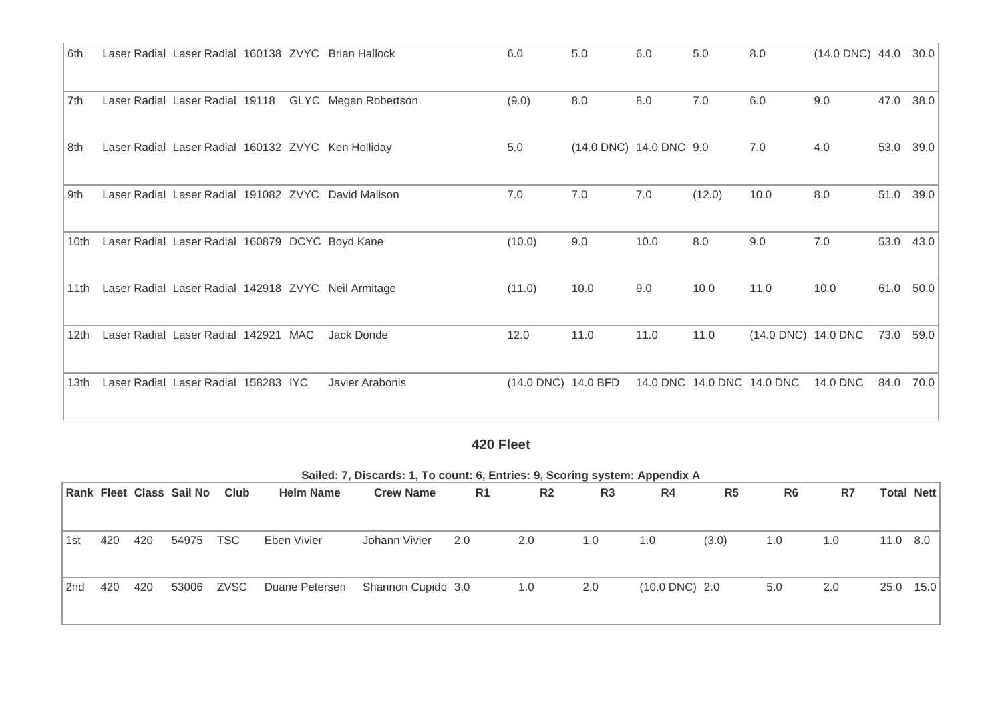| 6th  |                                                 |  | Laser Radial Laser Radial 160138 ZVYC Brian Hallock | 6.0                 | 5.0                     | 6.0  | 5.0                        | 8.0                 | $(14.0 \text{ DNC})$ 44.0 |      | 30.0 |
|------|-------------------------------------------------|--|-----------------------------------------------------|---------------------|-------------------------|------|----------------------------|---------------------|---------------------------|------|------|
|      |                                                 |  |                                                     |                     |                         |      |                            |                     |                           |      |      |
| 7th  | Laser Radial Laser Radial 19118                 |  | GLYC Megan Robertson                                | (9.0)               | 8.0                     | 8.0  | 7.0                        | 6.0                 | 9.0                       | 47.0 | 38.0 |
| 8th  |                                                 |  | Laser Radial Laser Radial 160132 ZVYC Ken Holliday  | 5.0                 | (14.0 DNC) 14.0 DNC 9.0 |      |                            | 7.0                 | 4.0                       | 53.0 | 39.0 |
|      |                                                 |  |                                                     |                     |                         |      |                            |                     |                           |      |      |
| 9th  |                                                 |  | Laser Radial Laser Radial 191082 ZVYC David Malison | 7.0                 | 7.0                     | 7.0  | (12.0)                     | 10.0                | 8.0                       | 51.0 | 39.0 |
|      |                                                 |  |                                                     |                     |                         |      |                            |                     |                           |      |      |
| 10th | Laser Radial Laser Radial 160879 DCYC Boyd Kane |  |                                                     | (10.0)              | 9.0                     | 10.0 | 8.0                        | 9.0                 | 7.0                       | 53.0 | 43.0 |
| 11th |                                                 |  | Laser Radial Laser Radial 142918 ZVYC Neil Armitage | (11.0)              | 10.0                    | 9.0  | 10.0                       | 11.0                | 10.0                      | 61.0 | 50.0 |
|      |                                                 |  |                                                     |                     |                         |      |                            |                     |                           |      |      |
| 12th | Laser Radial Laser Radial 142921 MAC            |  | Jack Donde                                          | 12.0                | 11.0                    | 11.0 | 11.0                       | (14.0 DNC) 14.0 DNC |                           | 73.0 | 59.0 |
|      |                                                 |  |                                                     |                     |                         |      |                            |                     |                           |      |      |
| 13th | Laser Radial Laser Radial 158283 IYC            |  | Javier Arabonis                                     | (14.0 DNC) 14.0 BFD |                         |      | 14.0 DNC 14.0 DNC 14.0 DNC |                     | 14.0 DNC                  | 84.0 | 70.0 |
|      |                                                 |  |                                                     |                     |                         |      |                            |                     |                           |      |      |

# **420 Fleet**

|     | Sailed: 7, Discards: 1, To count: 6, Entries: 9, Scoring system: Appendix A |     |                          |             |                  |                    |                |                |                |                          |                |                |     |      |            |
|-----|-----------------------------------------------------------------------------|-----|--------------------------|-------------|------------------|--------------------|----------------|----------------|----------------|--------------------------|----------------|----------------|-----|------|------------|
|     |                                                                             |     | Rank Fleet Class Sail No | Club        | <b>Helm Name</b> | <b>Crew Name</b>   | R <sub>1</sub> | R <sub>2</sub> | R <sub>3</sub> | R <sub>4</sub>           | R <sub>5</sub> | R <sub>6</sub> | R7  |      | Total Nett |
|     |                                                                             |     |                          |             |                  |                    |                |                |                |                          |                |                |     |      |            |
| 1st | 420                                                                         | 420 | 54975                    | <b>TSC</b>  | Eben Vivier      | Johann Vivier      | 2.0            | 2.0            | 1.0            | 1.0                      | (3.0)          | 1.0            | 1.0 |      | 11.0 8.0   |
| 2nd | 420                                                                         | 420 | 53006                    | <b>ZVSC</b> | Duane Petersen   | Shannon Cupido 3.0 |                | 1.0            | 2.0            | $(10.0 \text{ DNC})$ 2.0 |                | 5.0            | 2.0 | 25.0 | 15.0       |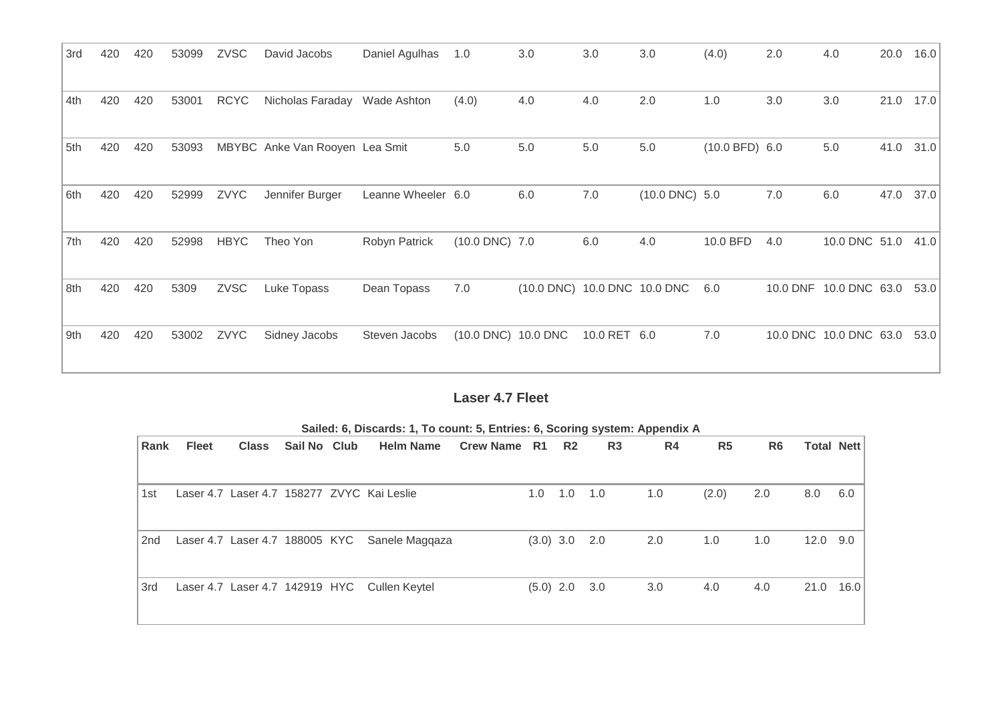| 3rd | 420 | 420 | 53099 | <b>ZVSC</b> | David Jacobs                   | Daniel Agulhas     | 1.0                 | 3.0                          | 3.0          | 3.0                 | (4.0)          | 2.0      | 4.0                    | 20.0 | 16.0 |
|-----|-----|-----|-------|-------------|--------------------------------|--------------------|---------------------|------------------------------|--------------|---------------------|----------------|----------|------------------------|------|------|
|     |     |     |       |             |                                |                    |                     |                              |              |                     |                |          |                        |      |      |
| 4th | 420 | 420 | 53001 | <b>RCYC</b> | Nicholas Faraday               | Wade Ashton        | (4.0)               | 4.0                          | 4.0          | 2.0                 | 1.0            | 3.0      | 3.0                    | 21.0 | 17.0 |
|     |     |     |       |             |                                |                    |                     |                              |              |                     |                |          |                        |      |      |
| 5th | 420 | 420 | 53093 |             | MBYBC Anke Van Rooyen Lea Smit |                    | 5.0                 | 5.0                          | 5.0          | 5.0                 | (10.0 BFD) 6.0 |          | 5.0                    | 41.0 | 31.0 |
|     |     |     |       |             |                                |                    |                     |                              |              |                     |                |          |                        |      |      |
| 6th | 420 | 420 | 52999 | ZVYC        | Jennifer Burger                | Leanne Wheeler 6.0 |                     | 6.0                          | 7.0          | $(10.0$ DNC $)$ 5.0 |                | 7.0      | 6.0                    | 47.0 | 37.0 |
|     |     |     |       |             |                                |                    |                     |                              |              |                     |                |          |                        |      |      |
| 7th | 420 | 420 | 52998 | <b>HBYC</b> | Theo Yon                       | Robyn Patrick      | (10.0 DNC) 7.0      |                              | 6.0          | 4.0                 | 10.0 BFD       | 4.0      | 10.0 DNC 51.0          |      | 41.0 |
|     |     |     |       |             |                                |                    |                     |                              |              |                     |                |          |                        |      |      |
| 8th | 420 | 420 | 5309  | ZVSC        | Luke Topass                    | Dean Topass        | 7.0                 | (10.0 DNC) 10.0 DNC 10.0 DNC |              |                     | 6.0            | 10.0 DNF | 10.0 DNC 63.0          |      | 53.0 |
|     |     |     |       |             |                                |                    |                     |                              |              |                     |                |          |                        |      |      |
| 9th | 420 | 420 | 53002 | ZVYC        | Sidney Jacobs                  | Steven Jacobs      | (10.0 DNC) 10.0 DNC |                              | 10.0 RET 6.0 |                     | 7.0            |          | 10.0 DNC 10.0 DNC 63.0 |      | 53.0 |
|     |     |     |       |             |                                |                    |                     |                              |              |                     |                |          |                        |      |      |

## **Laser 4.7 Fleet**

|      |              |       |              | Sailed: 6, Discards: 1, To count: 5, Entries: 6, Scoring system: Appendix A |                 |                 |             |                |     |                |                |                   |      |
|------|--------------|-------|--------------|-----------------------------------------------------------------------------|-----------------|-----------------|-------------|----------------|-----|----------------|----------------|-------------------|------|
| Rank | <b>Fleet</b> | Class | Sail No Club | <b>Helm Name</b>                                                            | Crew Name R1 R2 |                 |             | R <sub>3</sub> | R4  | R <sub>5</sub> | R <sub>6</sub> | <b>Total Nett</b> |      |
| 1st  |              |       |              | Laser 4.7 Laser 4.7 158277 ZVYC Kai Leslie                                  |                 | $1.0 \quad 1.0$ |             | 1.0            | 1.0 | (2.0)          | 2.0            | 8.0               | 6.0  |
| 2nd  |              |       |              | Laser 4.7 Laser 4.7 188005 KYC Sanele Maggaza                               |                 |                 | $(3.0)$ 3.0 | 2.0            | 2.0 | 1.0            | 1.0            | 12.0              | 9.0  |
| 3rd  |              |       |              | Laser 4.7 Laser 4.7 142919 HYC Cullen Keytel                                |                 | $(5.0)$ 2.0     |             | 3.0            | 3.0 | 4.0            | 4.0            | 21.0              | 16.0 |

**Sailed: 6, Discards: 1, To count: 5, Entries: 6, Scoring system: Appendix A**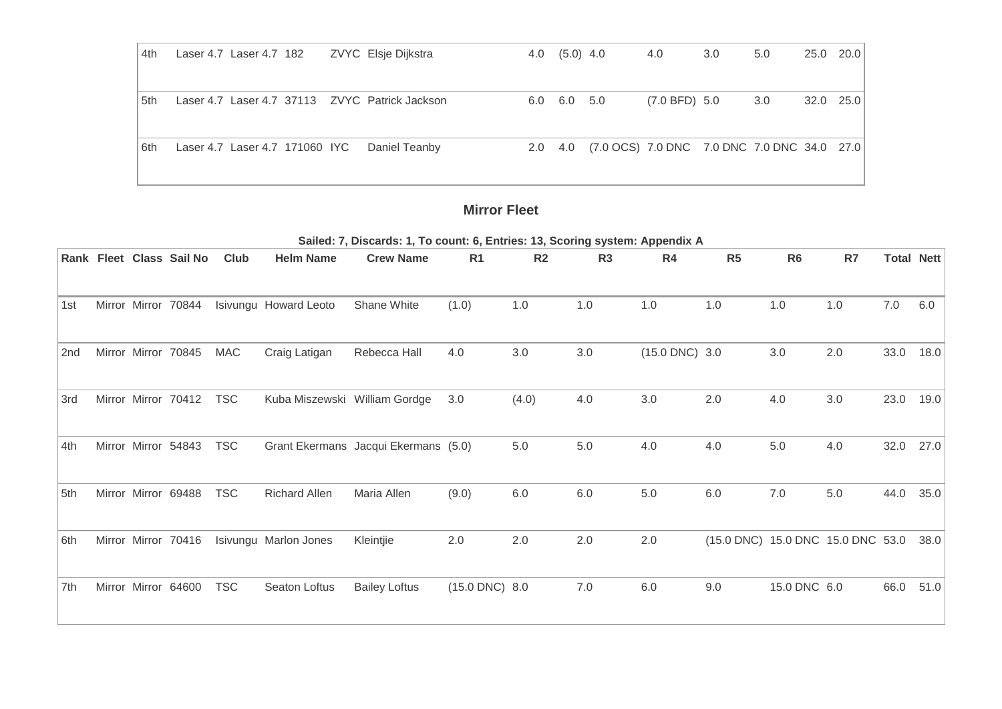| 4th | Laser 4.7 Laser 4.7 182        |  | ZVYC Elsje Dijkstra                               | $4.0$ $(5.0)$ $4.0$     |                                                     | 4.0           | 3.0 <sub>2</sub> | 5.0 | 25.0 20.0 |  |
|-----|--------------------------------|--|---------------------------------------------------|-------------------------|-----------------------------------------------------|---------------|------------------|-----|-----------|--|
| 5th |                                |  | Laser 4.7 Laser 4.7 37113    ZVYC Patrick Jackson | $6.0\quad 6.0\quad 5.0$ |                                                     | (7.0 BFD) 5.0 |                  | 3.0 | 32.0 25.0 |  |
| 6th | Laser 4.7 Laser 4.7 171060 IYC |  | Daniel Teanby                                     |                         | 2.0 4.0 (7.0 OCS) 7.0 DNC 7.0 DNC 7.0 DNC 34.0 27.0 |               |                  |     |           |  |

#### **Mirror Fleet**

**Sailed: 7, Discards: 1, To count: 6, Entries: 13, Scoring system: Appendix A Rank Fleet Class Sail No Club Helm Name Crew Name R1 R2 R3 R4 R5 R6 R7 Total Nett** 1st Mirror Mirror 70844 Isivungu Howard Leoto Shane White (1.0) 1.0 1.0 1.0 1.0 1.0 1.0 7.0 6.0 2nd Mirror Mirror 70845 MAC Craig Latigan Rebecca Hall 4.0 3.0 3.0 (15.0 DNC) 3.0 3.0 2.0 33.0 18.0 3rd Mirror Mirror 70412 TSC Kuba Miszewski William Gordge 3.0 (4.0) 4.0 3.0 2.0 4.0 3.0 23.0 19.0 4th Mirror Mirror 54843 TSC Grant Ekermans Jacqui Ekermans (5.0) 5.0 5.0 4.0 4.0 5.0 4.0 32.0 27.0 5th Mirror Mirror 69488 TSC Richard Allen Maria Allen (9.0) 6.0 6.0 5.0 6.0 7.0 5.0 44.0 35.0 6th Mirror Mirror 70416 Isivungu Marlon Jones Kleintjie 2.0 2.0 2.0 2.0 (15.0 DNC) 15.0 DNC 15.0 DNC 53.0 38.0 7th Mirror Mirror 64600 TSC Seaton Loftus Bailey Loftus (15.0 DNC) 8.0 7.0 6.0 9.0 15.0 DNC 6.0 66.0 51.0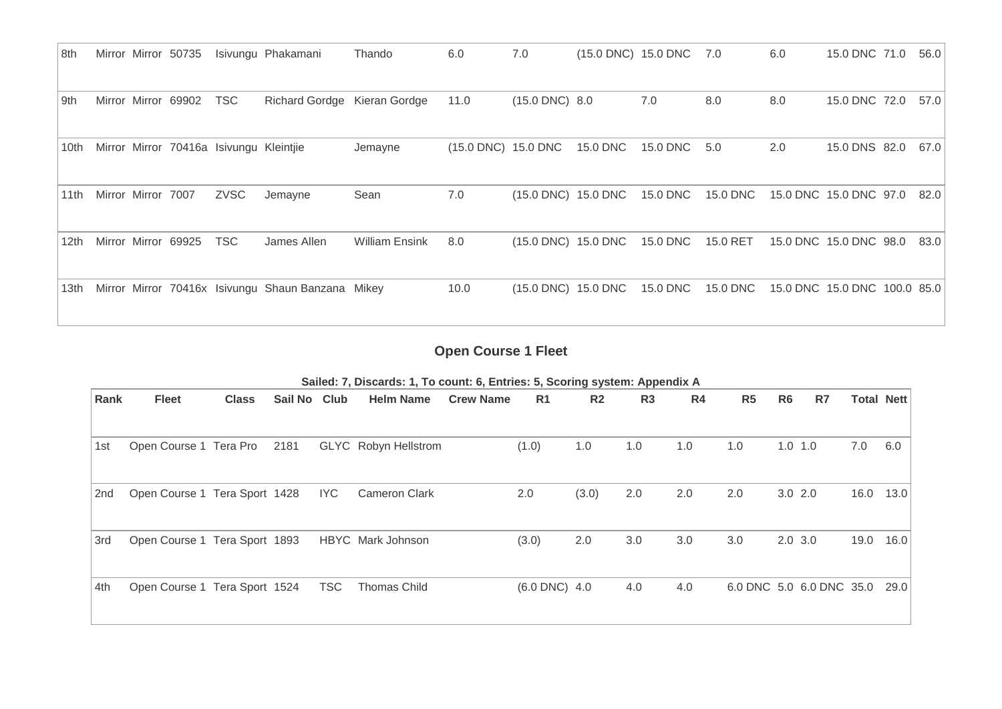| 8th              |                    | Mirror Mirror 50735 |                                         | Isivungu Phakamani                                | Thando                | 6.0                 | 7.0                 |          | (15.0 DNC) 15.0 DNC 7.0 |          | 6.0 | 15.0 DNC 71.0                | 56.0 |
|------------------|--------------------|---------------------|-----------------------------------------|---------------------------------------------------|-----------------------|---------------------|---------------------|----------|-------------------------|----------|-----|------------------------------|------|
| 9th              |                    | Mirror Mirror 69902 | <b>TSC</b>                              | Richard Gordge Kieran Gordge                      |                       | 11.0                | $(15.0$ DNC $)$ 8.0 |          | 7.0                     | 8.0      | 8.0 | 15.0 DNC 72.0                | 57.0 |
| 10th             |                    |                     | Mirror Mirror 70416a Isivungu Kleintjie |                                                   | Jemayne               | (15.0 DNC) 15.0 DNC |                     | 15.0 DNC | 15.0 DNC                | 5.0      | 2.0 | 15.0 DNS 82.0                | 67.0 |
| 11th             | Mirror Mirror 7007 |                     | <b>ZVSC</b>                             | Jemayne                                           | Sean                  | 7.0                 | (15.0 DNC) 15.0 DNC |          | 15.0 DNC                | 15.0 DNC |     | 15.0 DNC 15.0 DNC 97.0       | 82.0 |
| 12 <sub>th</sub> |                    | Mirror Mirror 69925 | <b>TSC</b>                              | James Allen                                       | <b>William Ensink</b> | 8.0                 | (15.0 DNC) 15.0 DNC |          | 15.0 DNC                | 15.0 RET |     | 15.0 DNC 15.0 DNC 98.0       | 83.0 |
| 13th             |                    |                     |                                         | Mirror Mirror 70416x Isivungu Shaun Banzana Mikey |                       | 10.0                | (15.0 DNC) 15.0 DNC |          | 15.0 DNC                | 15.0 DNC |     | 15.0 DNC 15.0 DNC 100.0 85.0 |      |

**Open Course 1 Fleet**

| Rank | <b>Fleet</b>                  | <b>Class</b> | Sail No Club |            | <b>Helm Name</b>     | <b>Crew Name</b> | R1                 | R <sub>2</sub> | R <sub>3</sub> | R <sub>4</sub> | R <sub>5</sub> | R <sub>6</sub> | R7                       | <b>Total Nett</b> |      |
|------|-------------------------------|--------------|--------------|------------|----------------------|------------------|--------------------|----------------|----------------|----------------|----------------|----------------|--------------------------|-------------------|------|
|      |                               |              |              |            |                      |                  |                    |                |                |                |                |                |                          |                   |      |
| 1st  | Open Course 1 Tera Pro        |              | 2181         |            | GLYC Robyn Hellstrom |                  | (1.0)              | 1.0            | 1.0            | 1.0            | 1.0            | $1.0$ 1.0      |                          | 7.0               | 6.0  |
| 2nd  | Open Course 1 Tera Sport 1428 |              |              | IYC        | <b>Cameron Clark</b> |                  | 2.0                | (3.0)          | 2.0            | 2.0            | 2.0            | $3.0$ 2.0      |                          | 16.0              | 13.0 |
| 3rd  | Open Course 1 Tera Sport 1893 |              |              |            | HBYC Mark Johnson    |                  | (3.0)              | 2.0            | 3.0            | 3.0            | 3.0            | $2.0$ 3.0      |                          | 19.0              | 16.0 |
| 4th  | Open Course 1 Tera Sport 1524 |              |              | <b>TSC</b> | <b>Thomas Child</b>  |                  | $(6.0$ DNC $)$ 4.0 |                | 4.0            | 4.0            |                |                | 6.0 DNC 5.0 6.0 DNC 35.0 |                   | 29.0 |

**Sailed: 7, Discards: 1, To count: 6, Entries: 5, Scoring system: Appendix A**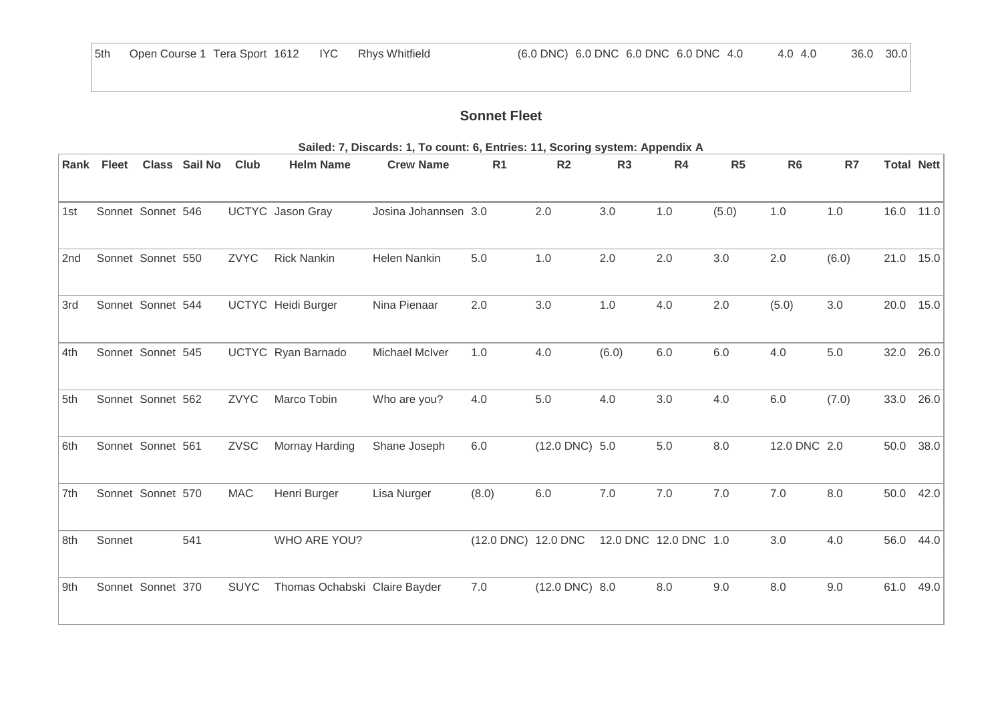# **Sonnet Fleet**

|                 |            |                   |               |             |                               | Sailed: 7, Discards: 1, To count: 6, Entries: 11, Scoring system: Appendix A |                     |                     |                |                       |         |                |       |                   |      |
|-----------------|------------|-------------------|---------------|-------------|-------------------------------|------------------------------------------------------------------------------|---------------------|---------------------|----------------|-----------------------|---------|----------------|-------|-------------------|------|
|                 | Rank Fleet |                   | Class Sail No | Club        | <b>Helm Name</b>              | <b>Crew Name</b>                                                             | R <sub>1</sub>      | R <sub>2</sub>      | R <sub>3</sub> | R4                    | R5      | R <sub>6</sub> | R7    | <b>Total Nett</b> |      |
| 1st             |            | Sonnet Sonnet 546 |               |             | <b>UCTYC</b> Jason Gray       | Josina Johannsen 3.0                                                         |                     | 2.0                 | 3.0            | 1.0                   | (5.0)   | 1.0            | 1.0   | 16.0              | 11.0 |
| 2 <sub>nd</sub> |            | Sonnet Sonnet 550 |               | <b>ZVYC</b> | <b>Rick Nankin</b>            | <b>Helen Nankin</b>                                                          | 5.0                 | 1.0                 | 2.0            | 2.0                   | 3.0     | 2.0            | (6.0) | 21.0              | 15.0 |
| 3rd             |            | Sonnet Sonnet 544 |               |             | <b>UCTYC</b> Heidi Burger     | Nina Pienaar                                                                 | 2.0                 | 3.0                 | 1.0            | 4.0                   | 2.0     | (5.0)          | 3.0   | 20.0              | 15.0 |
| 4th             |            | Sonnet Sonnet 545 |               |             | <b>UCTYC</b> Ryan Barnado     | <b>Michael McIver</b>                                                        | 1.0                 | 4.0                 | (6.0)          | 6.0                   | 6.0     | 4.0            | 5.0   | 32.0              | 26.0 |
| 5th             |            | Sonnet Sonnet 562 |               | ZVYC        | Marco Tobin                   | Who are you?                                                                 | 4.0                 | 5.0                 | 4.0            | 3.0                   | 4.0     | 6.0            | (7.0) | 33.0              | 26.0 |
| 6th             |            | Sonnet Sonnet 561 |               | ZVSC        | Mornay Harding                | Shane Joseph                                                                 | 6.0                 | $(12.0$ DNC $)$ 5.0 |                | $5.0\,$               | $8.0\,$ | 12.0 DNC 2.0   |       | 50.0              | 38.0 |
| 7th             |            | Sonnet Sonnet 570 |               | <b>MAC</b>  | Henri Burger                  | Lisa Nurger                                                                  | (8.0)               | 6.0                 | 7.0            | 7.0                   | 7.0     | 7.0            | 8.0   | 50.0              | 42.0 |
| 8th             | Sonnet     |                   | 541           |             | WHO ARE YOU?                  |                                                                              | (12.0 DNC) 12.0 DNC |                     |                | 12.0 DNC 12.0 DNC 1.0 |         | 3.0            | 4.0   | 56.0              | 44.0 |
| 9th             |            | Sonnet Sonnet 370 |               | <b>SUYC</b> | Thomas Ochabski Claire Bayder |                                                                              | 7.0                 | $(12.0$ DNC $)$ 8.0 |                | 8.0                   | 9.0     | 8.0            | 9.0   | 61.0              | 49.0 |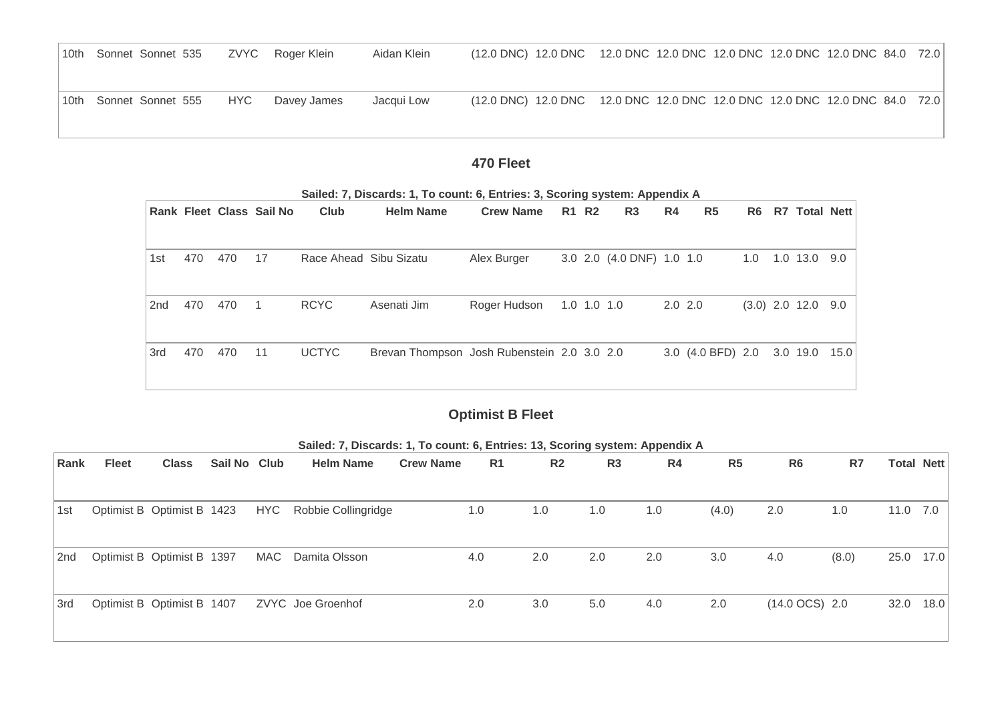| 10th Sonnet Sonnet 535 |            | ZVYC Roger Klein | Aidan Klein | (12.0 DNC) 12.0 DNC 12.0 DNC 12.0 DNC 12.0 DNC 12.0 DNC 12.0 DNC 84.0 72.0 |  |  |  |  |
|------------------------|------------|------------------|-------------|----------------------------------------------------------------------------|--|--|--|--|
| 10th Sonnet Sonnet 555 | <b>HYC</b> | Davey James      | Jacqui Low  | (12.0 DNC) 12.0 DNC 12.0 DNC 12.0 DNC 12.0 DNC 12.0 DNC 12.0 DNC 84.0 72.0 |  |  |  |  |

## **470 Fleet**

|                 |     |     | <b>Rank Fleet Class Sail No</b> | Club                   | <b>Helm Name</b>                            | <b>Crew Name</b> |                   | <b>R1 R2</b> | R <sub>3</sub>            | R4          | R <sub>5</sub>                            | R <sub>6</sub> | R7 Total Nett        |  |
|-----------------|-----|-----|---------------------------------|------------------------|---------------------------------------------|------------------|-------------------|--------------|---------------------------|-------------|-------------------------------------------|----------------|----------------------|--|
| 1st             | 470 | 470 | 17                              | Race Ahead Sibu Sizatu |                                             | Alex Burger      |                   |              | 3.0 2.0 (4.0 DNF) 1.0 1.0 |             |                                           | 1.0            | 1.0 13.0 9.0         |  |
| 2 <sub>nd</sub> | 470 | 470 | $\overline{1}$                  | <b>RCYC</b>            | Asenati Jim                                 | Roger Hudson     | $1.0$ $1.0$ $1.0$ |              |                           | $2.0$ $2.0$ |                                           |                | $(3.0)$ 2.0 12.0 9.0 |  |
| 3rd             | 470 | 470 | 11                              | <b>UCTYC</b>           | Brevan Thompson Josh Rubenstein 2.0 3.0 2.0 |                  |                   |              |                           |             | 3.0 $(4.0 \text{ BFD})$ 2.0 3.0 19.0 15.0 |                |                      |  |

#### **Sailed: 7, Discards: 1, To count: 6, Entries: 3, Scoring system: Appendix A**

# **Optimist B Fleet**

| Rank | <b>Fleet</b>               | <b>Class</b>               | Sail No Club |            | <b>Helm Name</b>    | <b>Crew Name</b> | R <sub>1</sub> | R <sub>2</sub> | R <sub>3</sub> | R4  | R <sub>5</sub> | R <sub>6</sub>           | R7    |          | <b>Total Nett</b> |
|------|----------------------------|----------------------------|--------------|------------|---------------------|------------------|----------------|----------------|----------------|-----|----------------|--------------------------|-------|----------|-------------------|
|      |                            |                            |              |            |                     |                  |                |                |                |     |                |                          |       |          |                   |
| 1st  | Optimist B Optimist B 1423 |                            |              | <b>HYC</b> | Robbie Collingridge |                  | 1.0            | 1.0            | 1.0            | 1.0 | (4.0)          | 2.0                      | 1.0   | 11.0 7.0 |                   |
| 2nd  | Optimist B Optimist B 1397 |                            |              | MAC        | Damita Olsson       | 4.0              |                | 2.0            | 2.0            | 2.0 | 3.0            | 4.0                      | (8.0) | 25.0     | 17.0              |
| 3rd  |                            | Optimist B Optimist B 1407 |              |            | ZVYC Joe Groenhof   | 2.0              |                | 3.0            | 5.0            | 4.0 | 2.0            | $(14.0 \text{ OCS})$ 2.0 |       | 32.0     | 18.0              |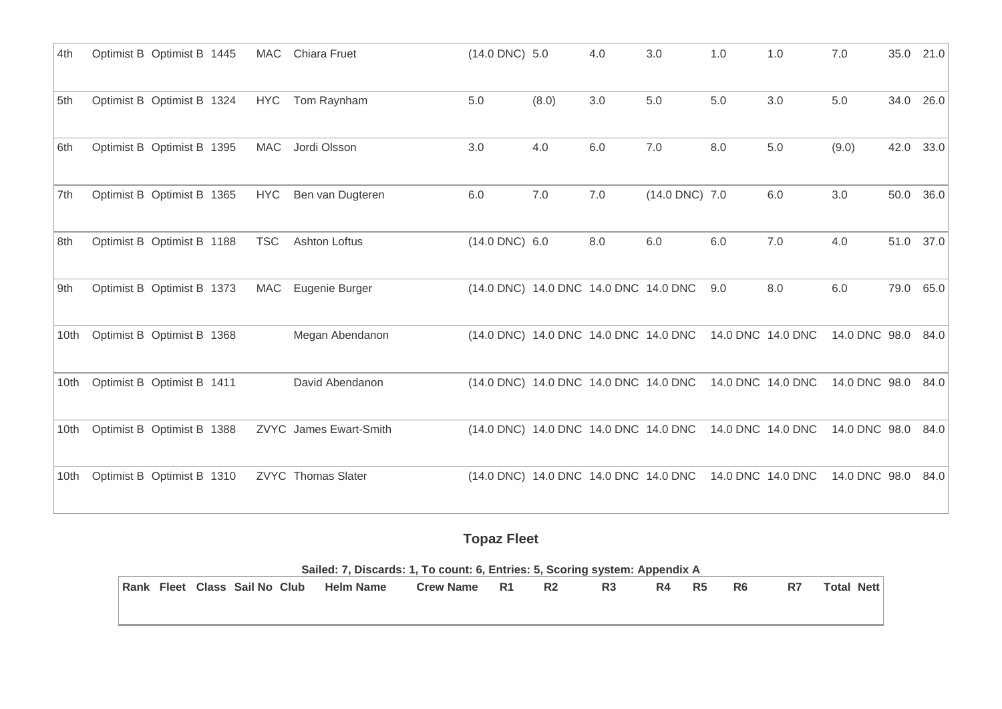| 4th  | Optimist B Optimist B 1445 |            | MAC Chiara Fruet          | (14.0 DNC) 5.0                        |       | 4.0     | 3.0            | 1.0 | 1.0               | 7.0           | 35.0 | 21.0 |
|------|----------------------------|------------|---------------------------|---------------------------------------|-------|---------|----------------|-----|-------------------|---------------|------|------|
| 5th  | Optimist B Optimist B 1324 | <b>HYC</b> | Tom Raynham               | 5.0                                   | (8.0) | 3.0     | 5.0            | 5.0 | 3.0               | 5.0           | 34.0 | 26.0 |
| 6th  | Optimist B Optimist B 1395 | MAC        | Jordi Olsson              | 3.0                                   | 4.0   | 6.0     | 7.0            | 8.0 | 5.0               | (9.0)         | 42.0 | 33.0 |
| 7th  | Optimist B Optimist B 1365 | <b>HYC</b> | Ben van Dugteren          | 6.0                                   | 7.0   | $7.0\,$ | (14.0 DNC) 7.0 |     | $6.0\,$           | $3.0\,$       | 50.0 | 36.0 |
| 8th  | Optimist B Optimist B 1188 | <b>TSC</b> | <b>Ashton Loftus</b>      | $(14.0$ DNC $)$ 6.0                   |       | 8.0     | 6.0            | 6.0 | 7.0               | 4.0           | 51.0 | 37.0 |
| 9th  | Optimist B Optimist B 1373 | <b>MAC</b> | Eugenie Burger            | (14.0 DNC) 14.0 DNC 14.0 DNC 14.0 DNC |       |         |                | 9.0 | 8.0               | $6.0\,$       | 79.0 | 65.0 |
| 10th | Optimist B Optimist B 1368 |            | Megan Abendanon           | (14.0 DNC) 14.0 DNC 14.0 DNC 14.0 DNC |       |         |                |     | 14.0 DNC 14.0 DNC | 14.0 DNC 98.0 |      | 84.0 |
| 10th | Optimist B Optimist B 1411 |            | David Abendanon           | (14.0 DNC) 14.0 DNC 14.0 DNC 14.0 DNC |       |         |                |     | 14.0 DNC 14.0 DNC | 14.0 DNC 98.0 |      | 84.0 |
| 10th | Optimist B Optimist B 1388 |            | ZVYC James Ewart-Smith    | (14.0 DNC) 14.0 DNC 14.0 DNC 14.0 DNC |       |         |                |     | 14.0 DNC 14.0 DNC | 14.0 DNC 98.0 |      | 84.0 |
| 10th | Optimist B Optimist B 1310 |            | <b>ZVYC</b> Thomas Slater | (14.0 DNC) 14.0 DNC 14.0 DNC 14.0 DNC |       |         |                |     | 14.0 DNC 14.0 DNC | 14.0 DNC 98.0 |      | 84.0 |

**Topaz Fleet**

|  |                               | Sailed: 7, Discards: 1, To count: 6, Entries: 5, Scoring system: Appendix A |                  |           |                |                |    |    |    |    |                   |
|--|-------------------------------|-----------------------------------------------------------------------------|------------------|-----------|----------------|----------------|----|----|----|----|-------------------|
|  | Rank Fleet Class Sail No Club | <b>Helm Name</b>                                                            | <b>Crew Name</b> | <b>R1</b> | R <sub>2</sub> | R <sub>3</sub> | R4 | R5 | R6 | R7 | <b>Total Nett</b> |
|  |                               |                                                                             |                  |           |                |                |    |    |    |    |                   |